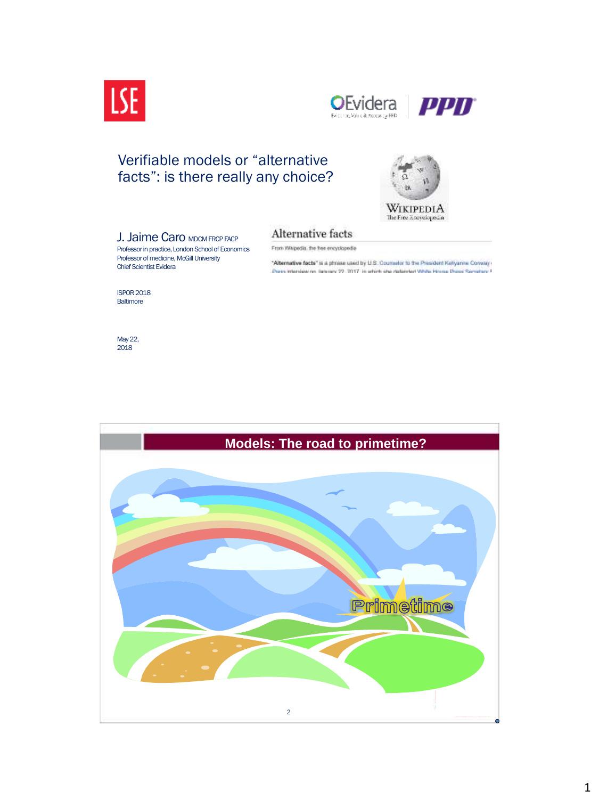



## Verifiable models or "alternative facts": is there really any choice?



#### Alternative facts From Whipedia, the free encyclopedia

Professor in practice, London School of Economics Professor of medicine, McGill University Chief Scientist Evidera

**J. Jaime Caro MDCM FRCP FACP** 

"Alternative facts" is a phrase used by U.S. Counselor to the President Keliyanne Conway

Press Intendeze no. Service: 22. 3017. In which she Haboried White History Diese Remetery /

ISPOR 2018 **Baltimore** 

May 22, 2018

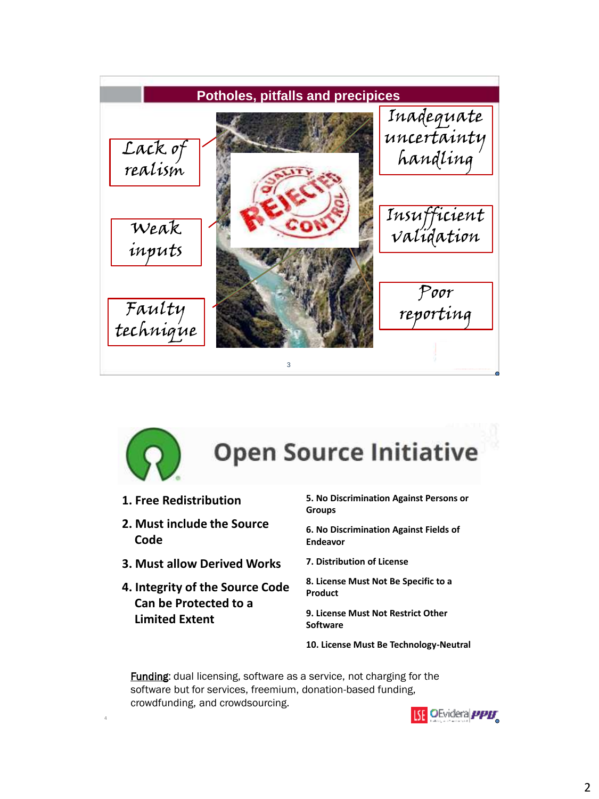



4

# **Open Source Initiative**

- **1. Free Redistribution**
- **2. Must include the Source Code**
- **3. Must allow Derived Works**
- **4. Integrity of the Source Code Can be Protected to a Limited Extent**

**5. No Discrimination Against Persons or Groups**

**6. No Discrimination Against Fields of Endeavor**

**7. Distribution of License**

**8. License Must Not Be Specific to a Product**

**9. License Must Not Restrict Other Software**

**10. License Must Be Technology-Neutral**

**Funding:** dual licensing, software as a service, not charging for the software but for services, freemium, donation-based funding, crowdfunding, and crowdsourcing.

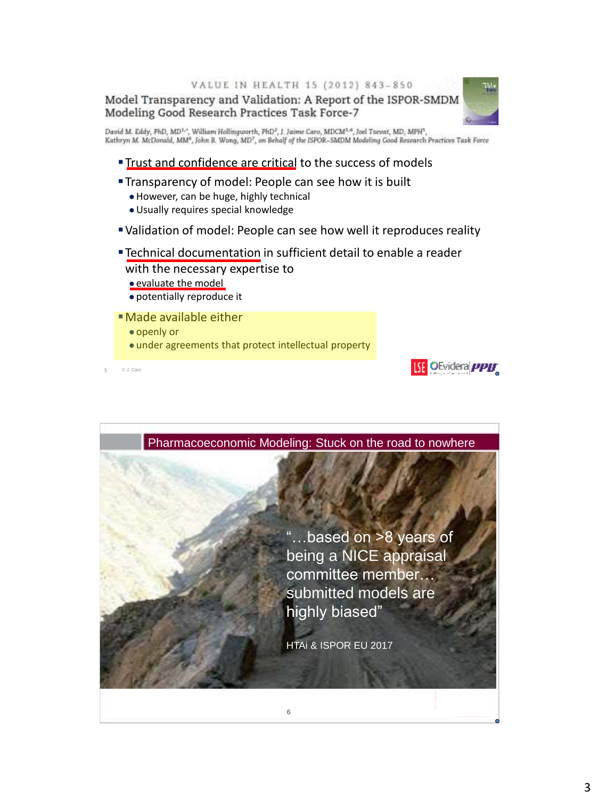VALUE IN HEALTH 15 (2012) 843-850

Model Transparency and Validation: A Report of the ISPOR-SMDM<br>Modeling Good Research Practices Task Force-7

David M. Eddy, PhD, MD<sup>1, e</sup>, William Hollingworth, PhD<sup>2</sup>, J. Jaime Caro, MDCM<sup>2, e</sup>, Joel Tsevat, MD, MPH<sup>5</sup>,<br>Kathryn M. McDonald, MM<sup>6</sup>, John B. Wong, MD<sup>2</sup>, on Behalf of the ISPOR–SMDM Modeling Good Research Practices

- Trust and confidence are critical to the success of models
- **Transparency of model: People can see how it is built** 
	- ●However, can be huge, highly technical
	- ●Usually requires special knowledge
- Validation of model: People can see how well it reproduces reality
- Technical documentation in sufficient detail to enable a reader with the necessary expertise to
	- ●evaluate the model
	- ●potentially reproduce it
- Made available either
	- ●openly or
	- under agreements that protect intellectual property

© J. Caro 5



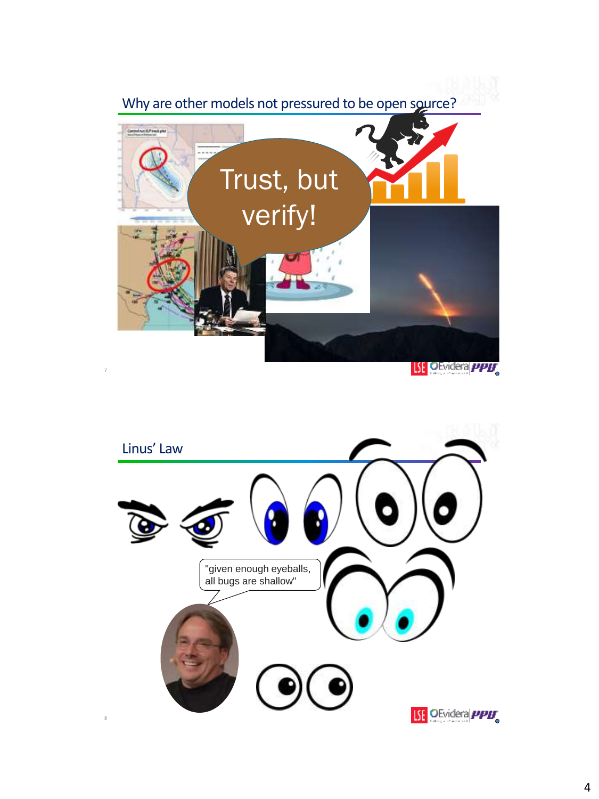